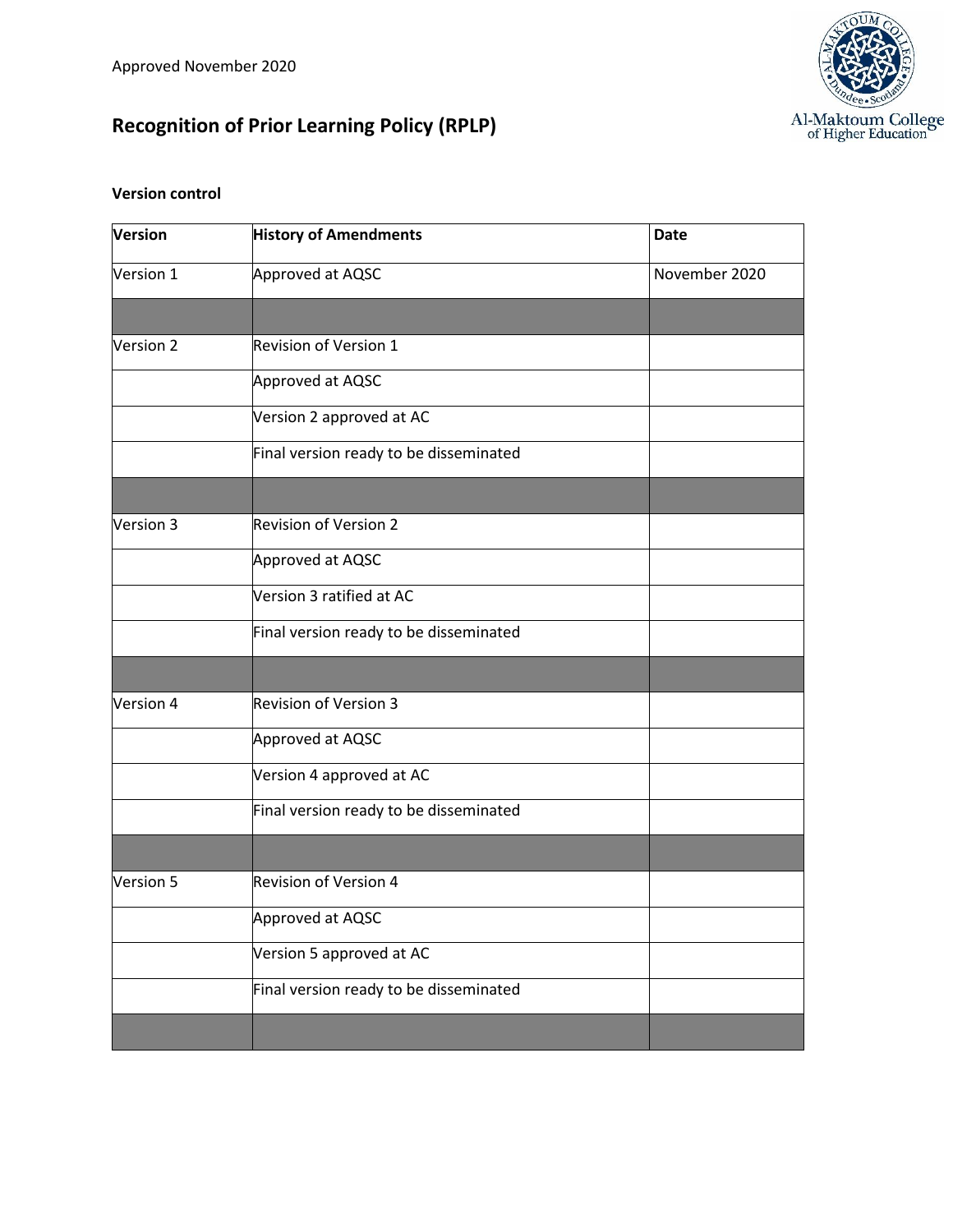# **Recognition of Prior Learning Policy (RPLP)**



# **Version control**

| Version   | <b>History of Amendments</b>           | <b>Date</b>   |
|-----------|----------------------------------------|---------------|
| Version 1 | Approved at AQSC                       | November 2020 |
|           |                                        |               |
| Version 2 | <b>Revision of Version 1</b>           |               |
|           | Approved at AQSC                       |               |
|           | Version 2 approved at AC               |               |
|           | Final version ready to be disseminated |               |
|           |                                        |               |
| Version 3 | <b>Revision of Version 2</b>           |               |
|           | Approved at AQSC                       |               |
|           | Version 3 ratified at AC               |               |
|           | Final version ready to be disseminated |               |
|           |                                        |               |
| Version 4 | <b>Revision of Version 3</b>           |               |
|           | Approved at AQSC                       |               |
|           | Version 4 approved at AC               |               |
|           | Final version ready to be disseminated |               |
|           |                                        |               |
| Version 5 | Revision of Version 4                  |               |
|           | Approved at AQSC                       |               |
|           | Version 5 approved at AC               |               |
|           | Final version ready to be disseminated |               |
|           |                                        |               |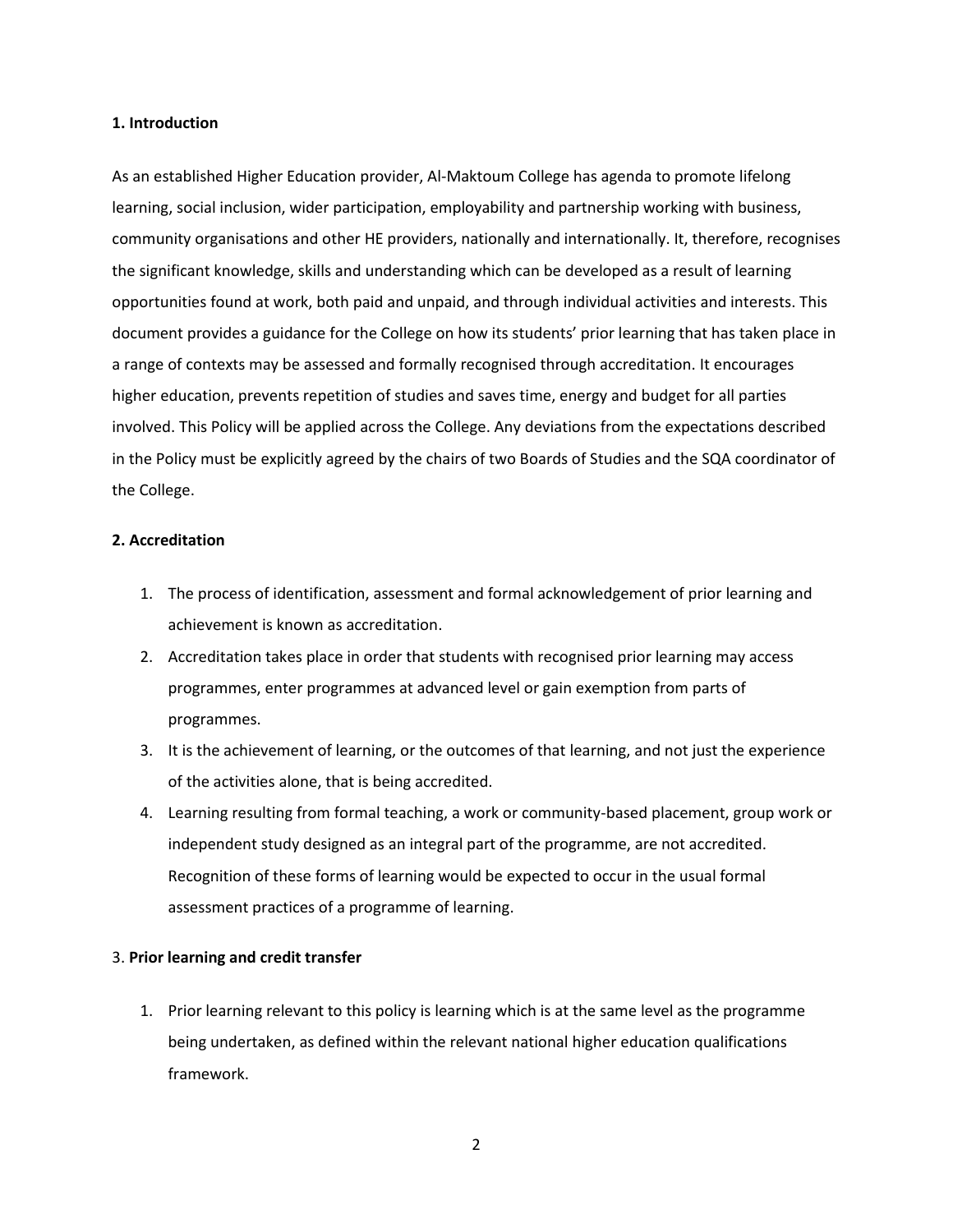#### **1. Introduction**

As an established Higher Education provider, Al-Maktoum College has agenda to promote lifelong learning, social inclusion, wider participation, employability and partnership working with business, community organisations and other HE providers, nationally and internationally. It, therefore, recognises the significant knowledge, skills and understanding which can be developed as a result of learning opportunities found at work, both paid and unpaid, and through individual activities and interests. This document provides a guidance for the College on how its students' prior learning that has taken place in a range of contexts may be assessed and formally recognised through accreditation. It encourages higher education, prevents repetition of studies and saves time, energy and budget for all parties involved. This Policy will be applied across the College. Any deviations from the expectations described in the Policy must be explicitly agreed by the chairs of two Boards of Studies and the SQA coordinator of the College.

#### **2. Accreditation**

- 1. The process of identification, assessment and formal acknowledgement of prior learning and achievement is known as accreditation.
- 2. Accreditation takes place in order that students with recognised prior learning may access programmes, enter programmes at advanced level or gain exemption from parts of programmes.
- 3. It is the achievement of learning, or the outcomes of that learning, and not just the experience of the activities alone, that is being accredited.
- 4. Learning resulting from formal teaching, a work or community-based placement, group work or independent study designed as an integral part of the programme, are not accredited. Recognition of these forms of learning would be expected to occur in the usual formal assessment practices of a programme of learning.

#### 3. **Prior learning and credit transfer**

1. Prior learning relevant to this policy is learning which is at the same level as the programme being undertaken, as defined within the relevant national higher education qualifications framework.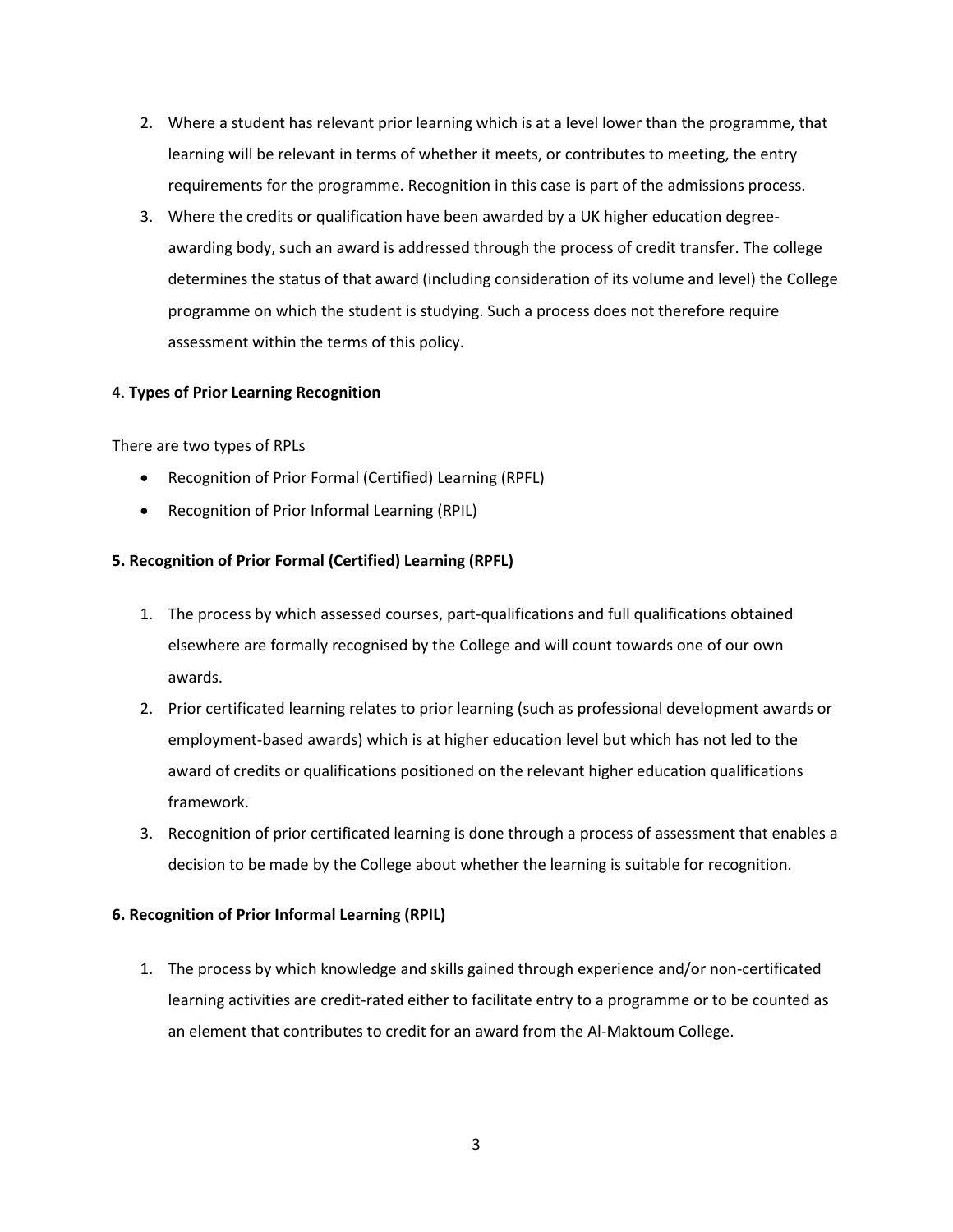- 2. Where a student has relevant prior learning which is at a level lower than the programme, that learning will be relevant in terms of whether it meets, or contributes to meeting, the entry requirements for the programme. Recognition in this case is part of the admissions process.
- 3. Where the credits or qualification have been awarded by a UK higher education degreeawarding body, such an award is addressed through the process of credit transfer. The college determines the status of that award (including consideration of its volume and level) the College programme on which the student is studying. Such a process does not therefore require assessment within the terms of this policy.

### 4. **Types of Prior Learning Recognition**

There are two types of RPLs

- Recognition of Prior Formal (Certified) Learning (RPFL)
- Recognition of Prior Informal Learning (RPIL)

## **5. Recognition of Prior Formal (Certified) Learning (RPFL)**

- 1. The process by which assessed courses, part-qualifications and full qualifications obtained elsewhere are formally recognised by the College and will count towards one of our own awards.
- 2. Prior certificated learning relates to prior learning (such as professional development awards or employment-based awards) which is at higher education level but which has not led to the award of credits or qualifications positioned on the relevant higher education qualifications framework.
- 3. Recognition of prior certificated learning is done through a process of assessment that enables a decision to be made by the College about whether the learning is suitable for recognition.

### **6. Recognition of Prior Informal Learning (RPIL)**

1. The process by which knowledge and skills gained through experience and/or non-certificated learning activities are credit-rated either to facilitate entry to a programme or to be counted as an element that contributes to credit for an award from the Al-Maktoum College.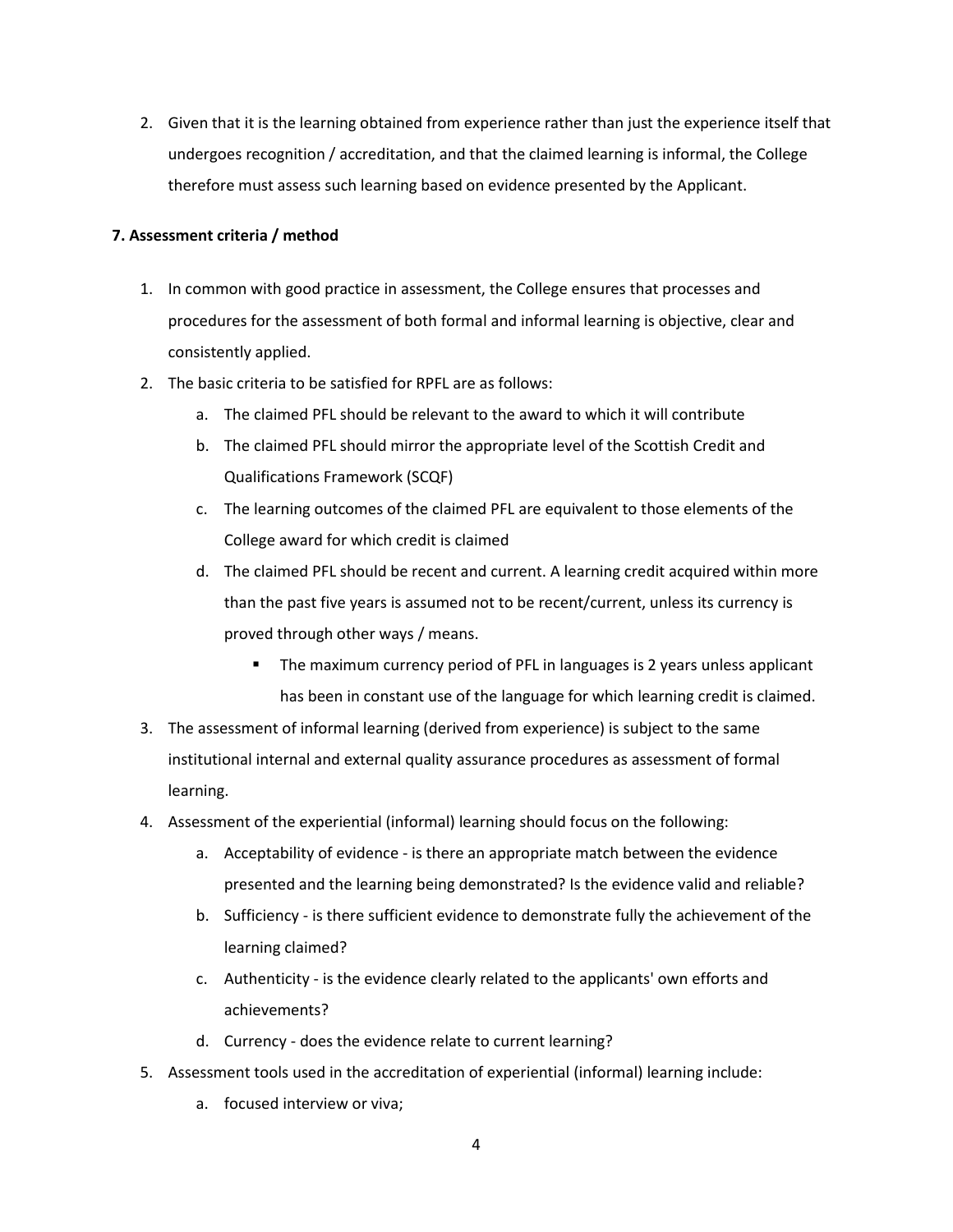2. Given that it is the learning obtained from experience rather than just the experience itself that undergoes recognition / accreditation, and that the claimed learning is informal, the College therefore must assess such learning based on evidence presented by the Applicant.

### **7. Assessment criteria / method**

- 1. In common with good practice in assessment, the College ensures that processes and procedures for the assessment of both formal and informal learning is objective, clear and consistently applied.
- 2. The basic criteria to be satisfied for RPFL are as follows:
	- a. The claimed PFL should be relevant to the award to which it will contribute
	- b. The claimed PFL should mirror the appropriate level of the Scottish Credit and Qualifications Framework (SCQF)
	- c. The learning outcomes of the claimed PFL are equivalent to those elements of the College award for which credit is claimed
	- d. The claimed PFL should be recent and current. A learning credit acquired within more than the past five years is assumed not to be recent/current, unless its currency is proved through other ways / means.
		- The maximum currency period of PFL in languages is 2 years unless applicant has been in constant use of the language for which learning credit is claimed.
- 3. The assessment of informal learning (derived from experience) is subject to the same institutional internal and external quality assurance procedures as assessment of formal learning.
- 4. Assessment of the experiential (informal) learning should focus on the following:
	- a. Acceptability of evidence is there an appropriate match between the evidence presented and the learning being demonstrated? Is the evidence valid and reliable?
	- b. Sufficiency is there sufficient evidence to demonstrate fully the achievement of the learning claimed?
	- c. Authenticity is the evidence clearly related to the applicants' own efforts and achievements?
	- d. Currency does the evidence relate to current learning?
- 5. Assessment tools used in the accreditation of experiential (informal) learning include:
	- a. focused interview or viva;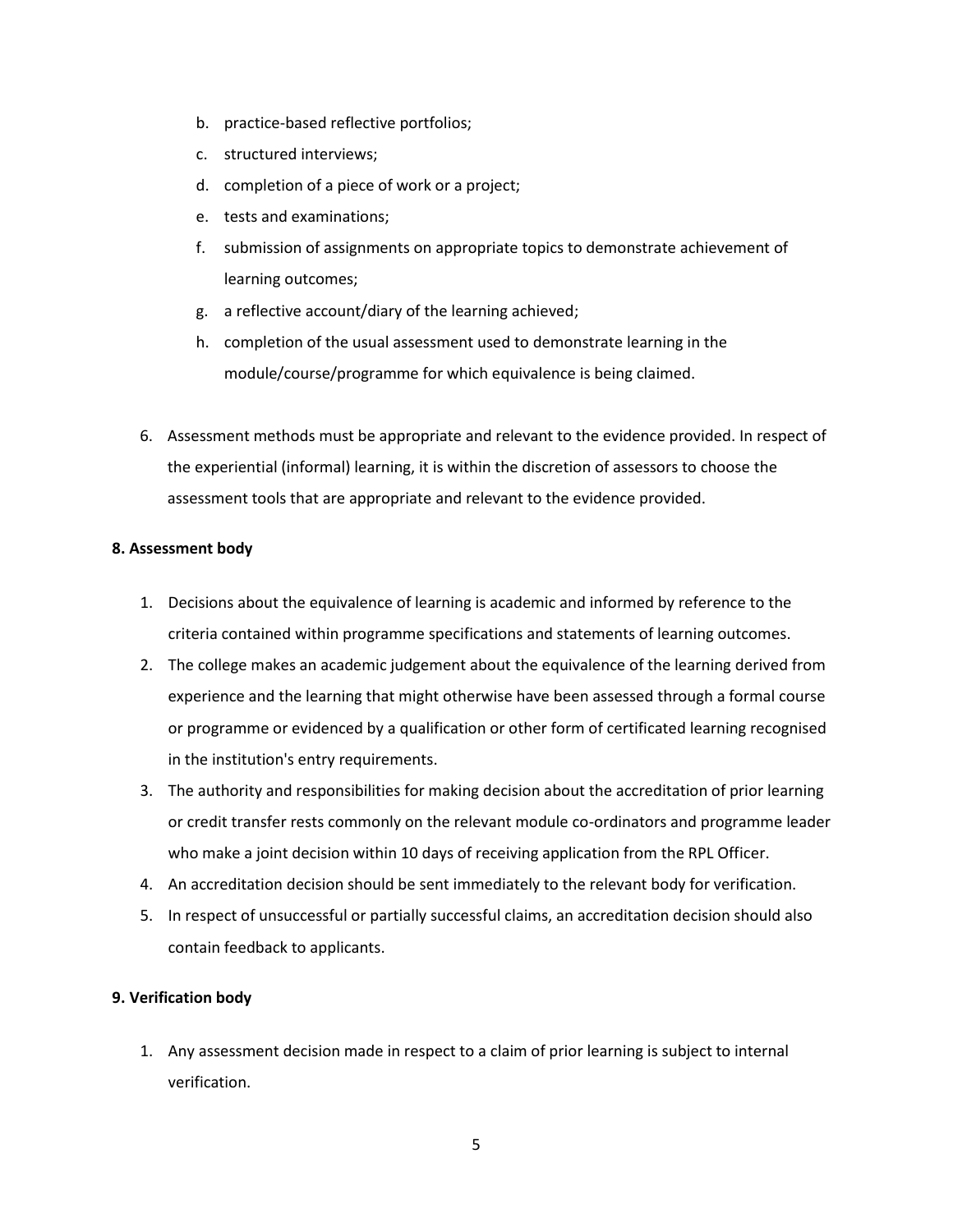- b. practice-based reflective portfolios;
- c. structured interviews;
- d. completion of a piece of work or a project;
- e. tests and examinations;
- f. submission of assignments on appropriate topics to demonstrate achievement of learning outcomes;
- g. a reflective account/diary of the learning achieved;
- h. completion of the usual assessment used to demonstrate learning in the module/course/programme for which equivalence is being claimed.
- 6. Assessment methods must be appropriate and relevant to the evidence provided. In respect of the experiential (informal) learning, it is within the discretion of assessors to choose the assessment tools that are appropriate and relevant to the evidence provided.

#### **8. Assessment body**

- 1. Decisions about the equivalence of learning is academic and informed by reference to the criteria contained within programme specifications and statements of learning outcomes.
- 2. The college makes an academic judgement about the equivalence of the learning derived from experience and the learning that might otherwise have been assessed through a formal course or programme or evidenced by a qualification or other form of certificated learning recognised in the institution's entry requirements.
- 3. The authority and responsibilities for making decision about the accreditation of prior learning or credit transfer rests commonly on the relevant module co-ordinators and programme leader who make a joint decision within 10 days of receiving application from the RPL Officer.
- 4. An accreditation decision should be sent immediately to the relevant body for verification.
- 5. In respect of unsuccessful or partially successful claims, an accreditation decision should also contain feedback to applicants.

### **9. Verification body**

1. Any assessment decision made in respect to a claim of prior learning is subject to internal verification.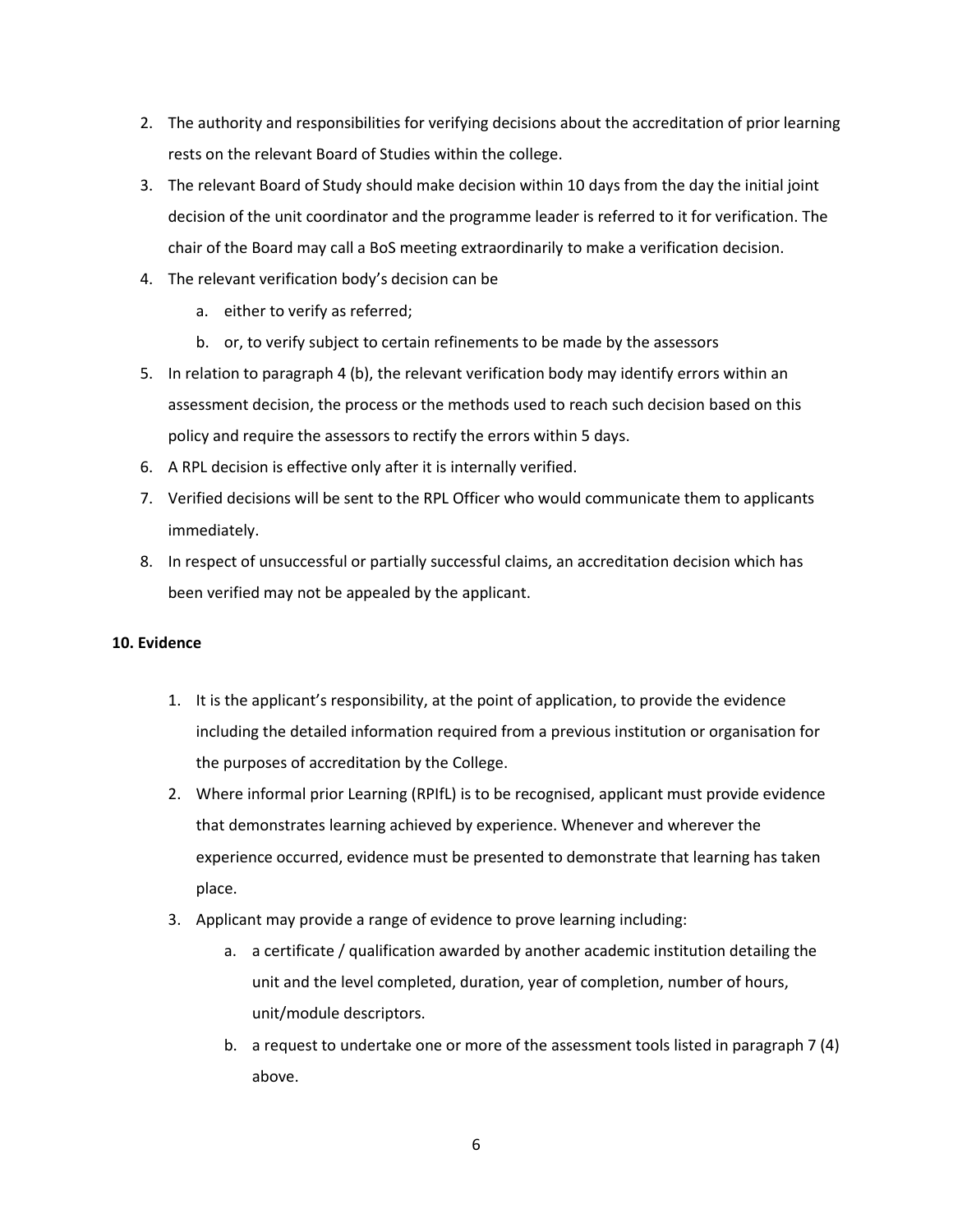- 2. The authority and responsibilities for verifying decisions about the accreditation of prior learning rests on the relevant Board of Studies within the college.
- 3. The relevant Board of Study should make decision within 10 days from the day the initial joint decision of the unit coordinator and the programme leader is referred to it for verification. The chair of the Board may call a BoS meeting extraordinarily to make a verification decision.
- 4. The relevant verification body's decision can be
	- a. either to verify as referred;
	- b. or, to verify subject to certain refinements to be made by the assessors
- 5. In relation to paragraph 4 (b), the relevant verification body may identify errors within an assessment decision, the process or the methods used to reach such decision based on this policy and require the assessors to rectify the errors within 5 days.
- 6. A RPL decision is effective only after it is internally verified.
- 7. Verified decisions will be sent to the RPL Officer who would communicate them to applicants immediately.
- 8. In respect of unsuccessful or partially successful claims, an accreditation decision which has been verified may not be appealed by the applicant.

### **10. Evidence**

- 1. It is the applicant's responsibility, at the point of application, to provide the evidence including the detailed information required from a previous institution or organisation for the purposes of accreditation by the College.
- 2. Where informal prior Learning (RPIfL) is to be recognised, applicant must provide evidence that demonstrates learning achieved by experience. Whenever and wherever the experience occurred, evidence must be presented to demonstrate that learning has taken place.
- 3. Applicant may provide a range of evidence to prove learning including:
	- a. a certificate / qualification awarded by another academic institution detailing the unit and the level completed, duration, year of completion, number of hours, unit/module descriptors.
	- b. a request to undertake one or more of the assessment tools listed in paragraph 7 (4) above.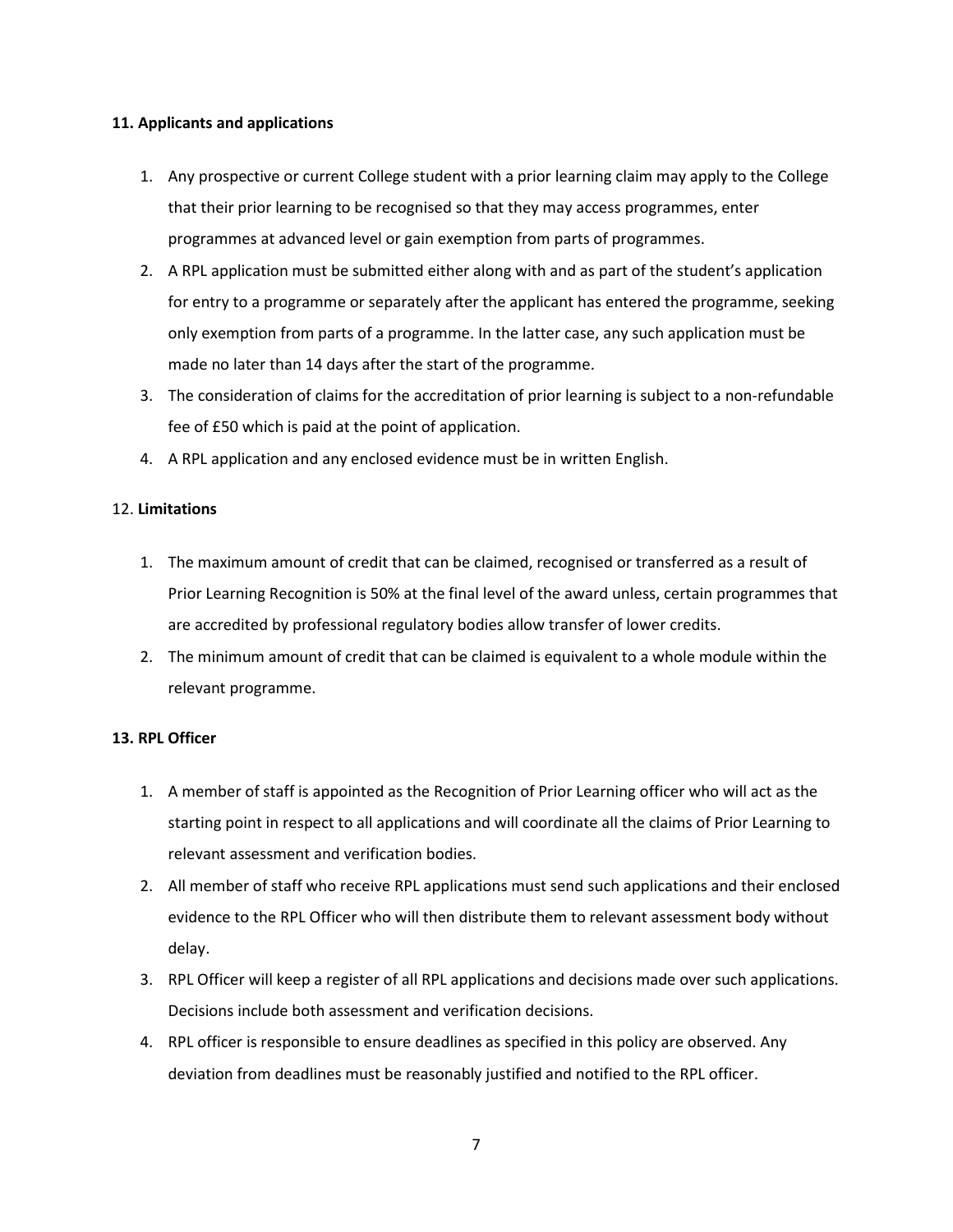#### **11. Applicants and applications**

- 1. Any prospective or current College student with a prior learning claim may apply to the College that their prior learning to be recognised so that they may access programmes, enter programmes at advanced level or gain exemption from parts of programmes.
- 2. A RPL application must be submitted either along with and as part of the student's application for entry to a programme or separately after the applicant has entered the programme, seeking only exemption from parts of a programme. In the latter case, any such application must be made no later than 14 days after the start of the programme.
- 3. The consideration of claims for the accreditation of prior learning is subject to a non-refundable fee of £50 which is paid at the point of application.
- 4. A RPL application and any enclosed evidence must be in written English.

### 12. **Limitations**

- 1. The maximum amount of credit that can be claimed, recognised or transferred as a result of Prior Learning Recognition is 50% at the final level of the award unless, certain programmes that are accredited by professional regulatory bodies allow transfer of lower credits.
- 2. The minimum amount of credit that can be claimed is equivalent to a whole module within the relevant programme.

### **13. RPL Officer**

- 1. A member of staff is appointed as the Recognition of Prior Learning officer who will act as the starting point in respect to all applications and will coordinate all the claims of Prior Learning to relevant assessment and verification bodies.
- 2. All member of staff who receive RPL applications must send such applications and their enclosed evidence to the RPL Officer who will then distribute them to relevant assessment body without delay.
- 3. RPL Officer will keep a register of all RPL applications and decisions made over such applications. Decisions include both assessment and verification decisions.
- 4. RPL officer is responsible to ensure deadlines as specified in this policy are observed. Any deviation from deadlines must be reasonably justified and notified to the RPL officer.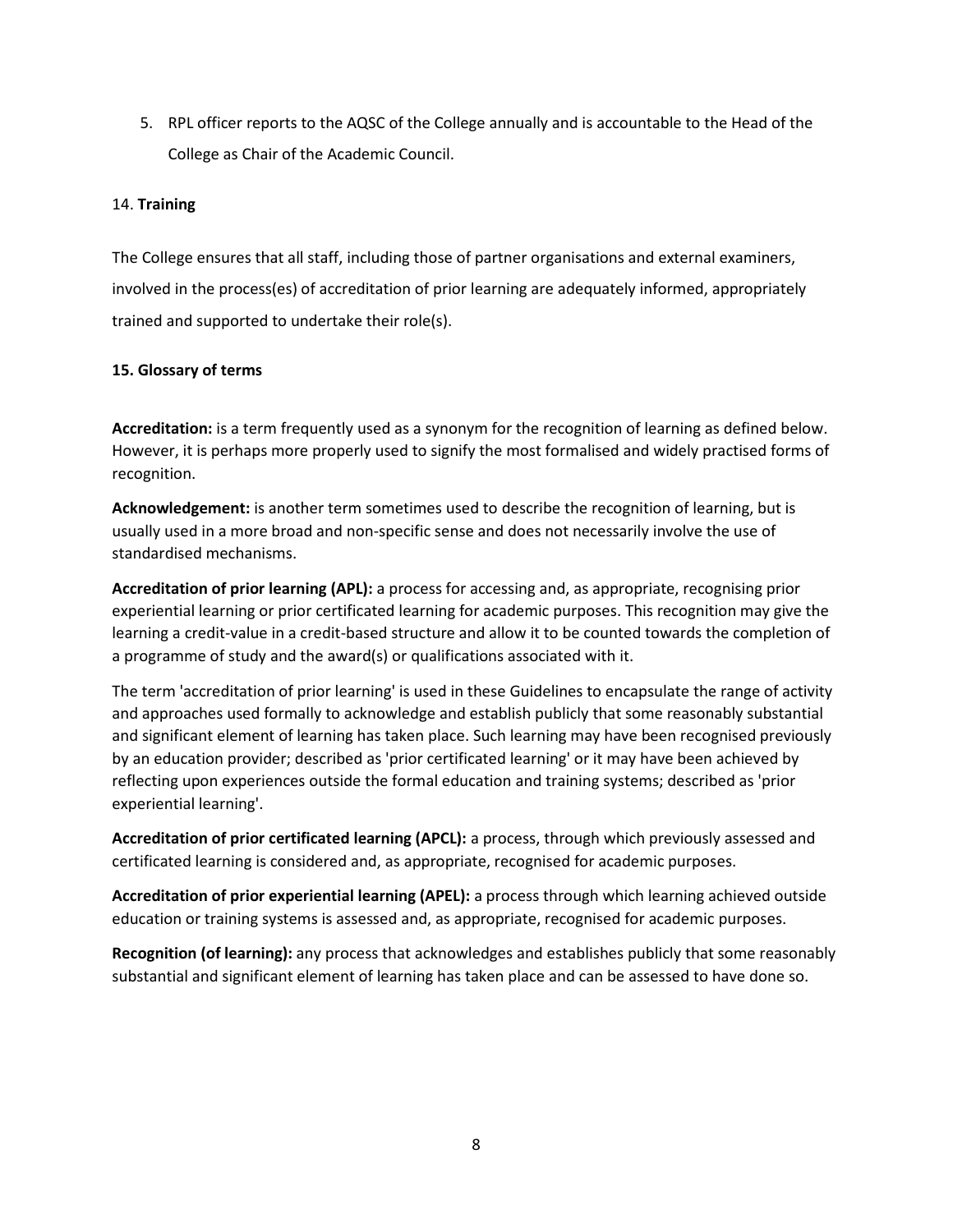5. RPL officer reports to the AQSC of the College annually and is accountable to the Head of the College as Chair of the Academic Council.

## 14. **Training**

The College ensures that all staff, including those of partner organisations and external examiners, involved in the process(es) of accreditation of prior learning are adequately informed, appropriately trained and supported to undertake their role(s).

## **15. Glossary of terms**

**Accreditation:** is a term frequently used as a synonym for the recognition of learning as defined below. However, it is perhaps more properly used to signify the most formalised and widely practised forms of recognition.

**Acknowledgement:** is another term sometimes used to describe the recognition of learning, but is usually used in a more broad and non-specific sense and does not necessarily involve the use of standardised mechanisms.

**Accreditation of prior learning (APL):** a process for accessing and, as appropriate, recognising prior experiential learning or prior certificated learning for academic purposes. This recognition may give the learning a credit-value in a credit-based structure and allow it to be counted towards the completion of a programme of study and the award(s) or qualifications associated with it.

The term 'accreditation of prior learning' is used in these Guidelines to encapsulate the range of activity and approaches used formally to acknowledge and establish publicly that some reasonably substantial and significant element of learning has taken place. Such learning may have been recognised previously by an education provider; described as 'prior certificated learning' or it may have been achieved by reflecting upon experiences outside the formal education and training systems; described as 'prior experiential learning'.

**Accreditation of prior certificated learning (APCL):** a process, through which previously assessed and certificated learning is considered and, as appropriate, recognised for academic purposes.

**Accreditation of prior experiential learning (APEL):** a process through which learning achieved outside education or training systems is assessed and, as appropriate, recognised for academic purposes.

**Recognition (of learning):** any process that acknowledges and establishes publicly that some reasonably substantial and significant element of learning has taken place and can be assessed to have done so.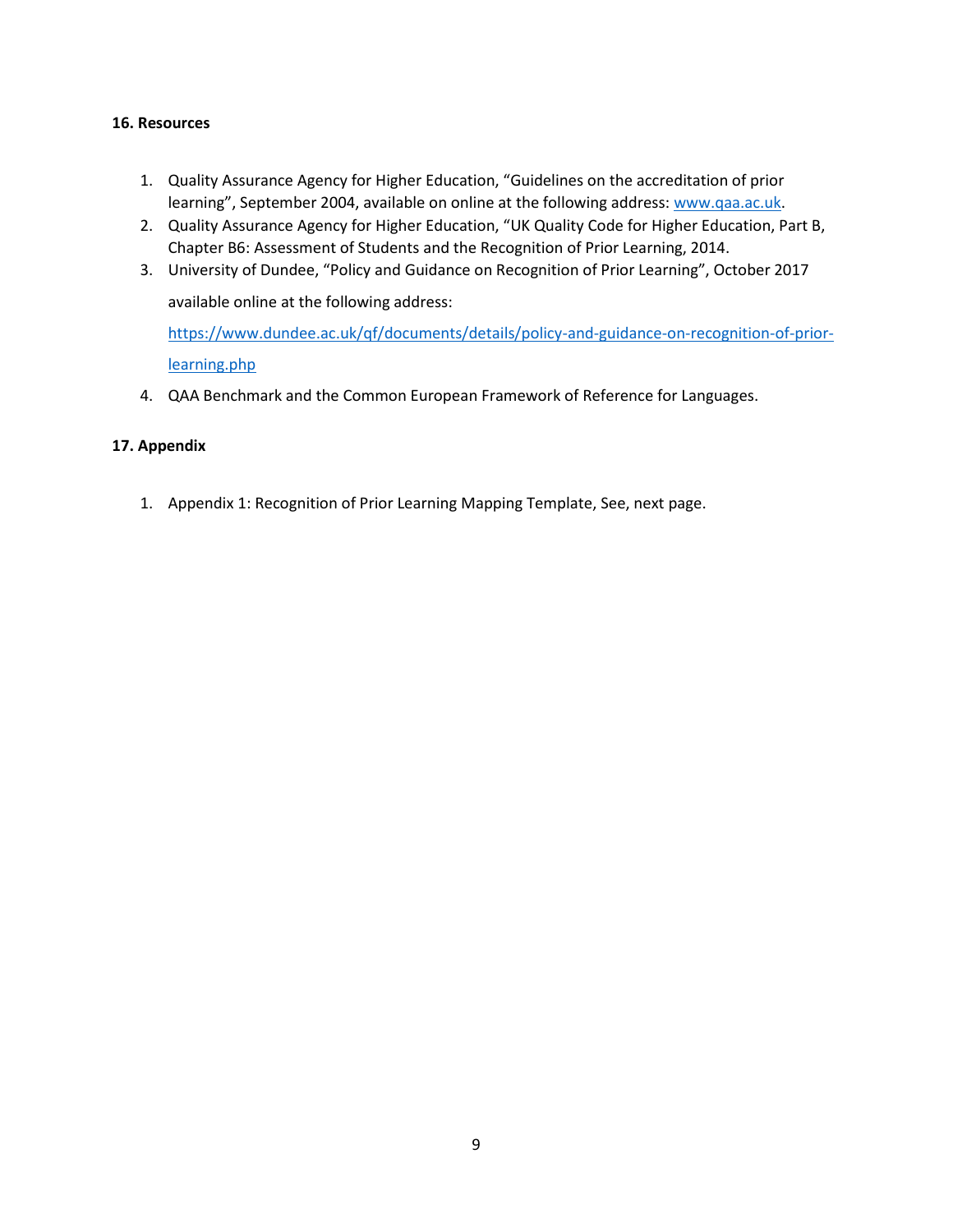### **16. Resources**

- 1. Quality Assurance Agency for Higher Education, "Guidelines on the accreditation of prior learning", September 2004, available on online at the following address: [www.qaa.ac.uk.](http://www.qaa.ac.uk/)
- 2. Quality Assurance Agency for Higher Education, "UK Quality Code for Higher Education, Part B, Chapter B6: Assessment of Students and the Recognition of Prior Learning, 2014.
- 3. University of Dundee, "Policy and Guidance on Recognition of Prior Learning", October 2017 available online at the following address:

[https://www.dundee.ac.uk/qf/documents/details/policy-and-guidance-on-recognition-of-prior](https://www.dundee.ac.uk/qf/documents/details/policy-and-guidance-on-recognition-of-prior-learning.php)[learning.php](https://www.dundee.ac.uk/qf/documents/details/policy-and-guidance-on-recognition-of-prior-learning.php)

4. QAA Benchmark and the Common European Framework of Reference for Languages.

## **17. Appendix**

1. Appendix 1: Recognition of Prior Learning Mapping Template, See, next page.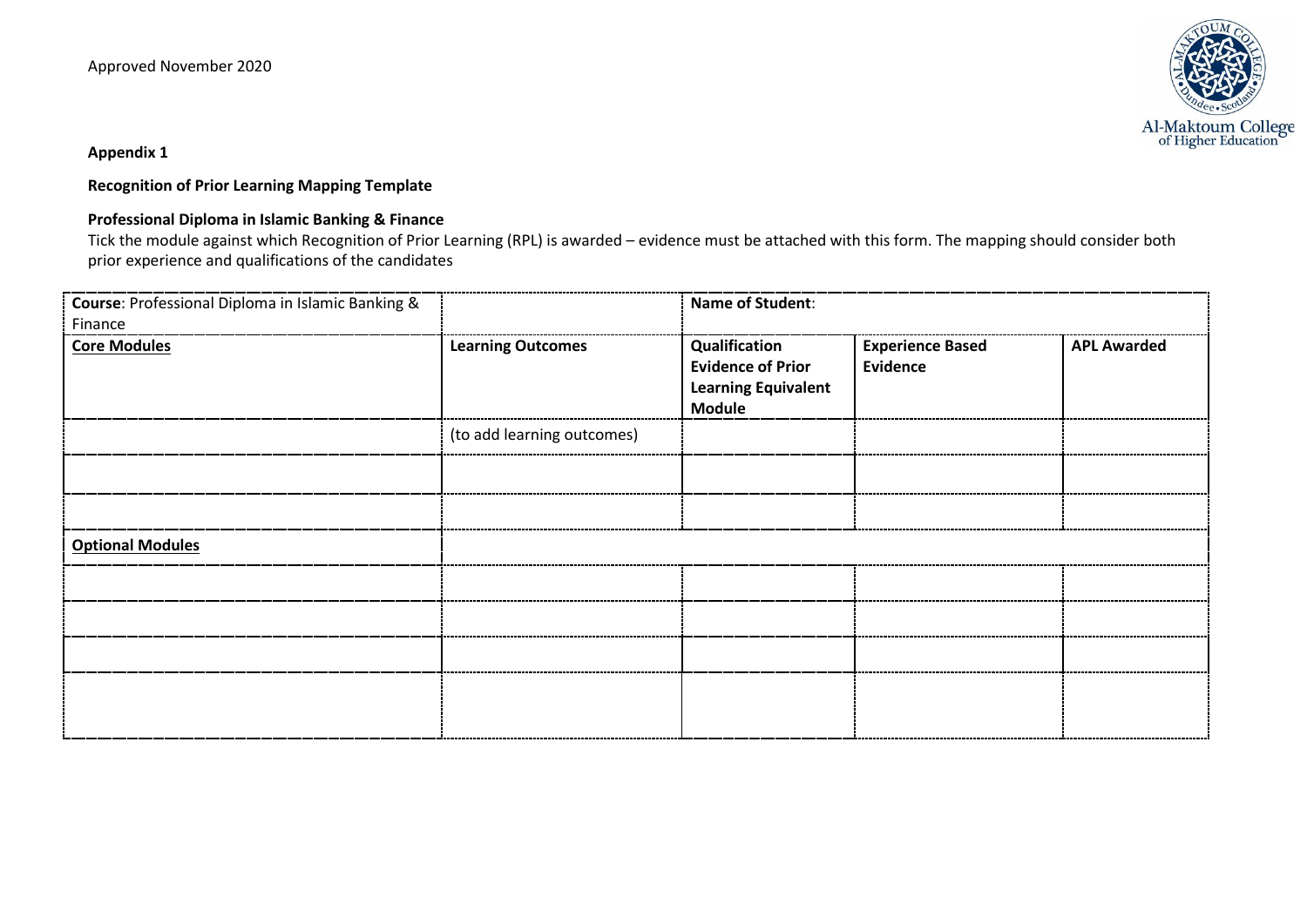

**Appendix 1**

**Recognition of Prior Learning Mapping Template**

## **Professional Diploma in Islamic Banking & Finance**

Tick the module against which Recognition of Prior Learning (RPL) is awarded – evidence must be attached with this form. The mapping should consider both prior experience and qualifications of the candidates

| Course: Professional Diploma in Islamic Banking &<br>Finance |                            | <b>Name of Student:</b>                                                                  |                                            |                    |
|--------------------------------------------------------------|----------------------------|------------------------------------------------------------------------------------------|--------------------------------------------|--------------------|
| <b>Core Modules</b>                                          | <b>Learning Outcomes</b>   | Qualification<br><b>Evidence of Prior</b><br><b>Learning Equivalent</b><br><b>Module</b> | <b>Experience Based</b><br><b>Evidence</b> | <b>APL Awarded</b> |
|                                                              | (to add learning outcomes) |                                                                                          |                                            |                    |
|                                                              |                            |                                                                                          |                                            |                    |
|                                                              |                            |                                                                                          |                                            |                    |
| <b>Optional Modules</b>                                      |                            |                                                                                          |                                            |                    |
|                                                              |                            |                                                                                          |                                            |                    |
|                                                              |                            |                                                                                          |                                            |                    |
|                                                              |                            |                                                                                          |                                            |                    |
|                                                              |                            |                                                                                          |                                            |                    |